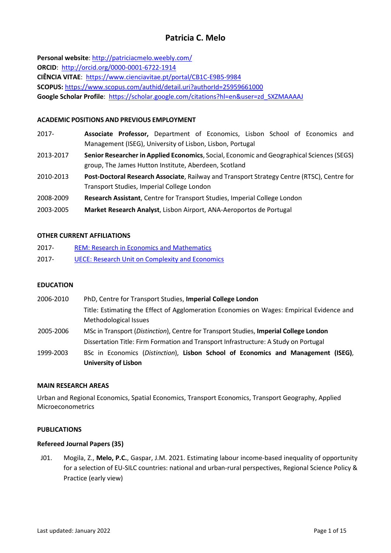# **Patricia C. Melo**

**Personal website**:<http://patriciacmelo.weebly.com/> **ORCID**: <http://orcid.org/0000-0001-6722-1914> **CIÊNCIA VITAE**: <https://www.cienciavitae.pt/portal/CB1C-E9B5-9984> **SCOPUS:** <https://www.scopus.com/authid/detail.uri?authorId=25959661000> Google Scholar Profile: [https://scholar.google.com/citations?hl=en&user=zd\\_SXZMAAAAJ](https://scholar.google.com/citations?hl=en&user=zd_SXZMAAAAJ)

## **ACADEMIC POSITIONS AND PREVIOUS EMPLOYMENT**

- 2017- **Associate Professor,** Department of Economics, Lisbon School of Economics and Management (ISEG), University of Lisbon, Lisbon, Portugal
- 2013-2017 **Senior Researcher in Applied Economics**, Social, Economic and Geographical Sciences (SEGS) group, The James Hutton Institute, Aberdeen, Scotland
- 2010-2013 **Post-Doctoral Research Associate**, Railway and Transport Strategy Centre (RTSC), Centre for Transport Studies, Imperial College London
- 2008-2009 **Research Assistant**, Centre for Transport Studies, Imperial College London
- 2003-2005 **Market Research Analyst**, Lisbon Airport, ANA-Aeroportos de Portugal

#### **OTHER CURRENT AFFILIATIONS**

- 2017- [REM: Research in Economics and Mathematics](https://rem.rc.iseg.ulisboa.pt/)
- 2017- [UECE: Research Unit on Complexity and Economics](https://uece.rc.iseg.ulisboa.pt/)

#### **EDUCATION**

- 2006-2010 PhD, Centre for Transport Studies, **Imperial College London** Title: Estimating the Effect of Agglomeration Economies on Wages: Empirical Evidence and Methodological Issues 2005-2006 MSc in Transport (*Distinction*), Centre for Transport Studies, **Imperial College London**
	- Dissertation Title: Firm Formation and Transport Infrastructure: A Study on Portugal
- 1999-2003 BSc in Economics (*Distinction*), **Lisbon School of Economics and Management (ISEG)**, **University of Lisbon**

# **MAIN RESEARCH AREAS**

Urban and Regional Economics, Spatial Economics, Transport Economics, Transport Geography, Applied Microeconometrics

#### **PUBLICATIONS**

#### **Refereed Journal Papers (35)**

J01. Mogila, Z., **Melo, P.C.**, Gaspar, J.M. 2021. Estimating labour income‐based inequality of opportunity for a selection of EU-SILC countries: national and urban-rural perspectives, Regional Science Policy & Practice (early view)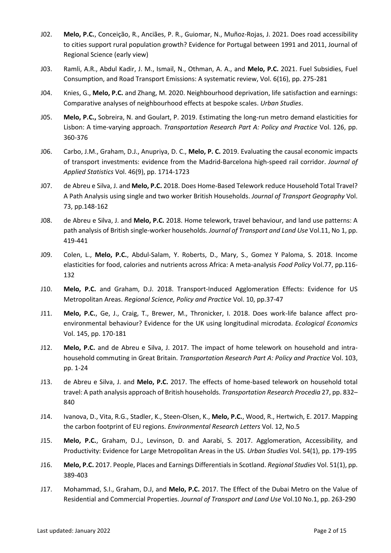- J02. **Melo, P.C.**, Conceição, R., Anciães, P. R., Guiomar, N., Muñoz-Rojas, J. 2021. Does road accessibility to cities support rural population growth? Evidence for Portugal between 1991 and 2011, Journal of Regional Science (early view)
- J03. Ramli, A.R., Abdul Kadir, J. M., Ismail, N., Othman, A. A., and **Melo, P.C.** 2021. Fuel Subsidies, Fuel Consumption, and Road Transport Emissions: A systematic review, Vol. 6(16), pp. 275-281
- J04. Knies, G., **Melo, P.C.** and Zhang, M. 2020. Neighbourhood deprivation, life satisfaction and earnings: Comparative analyses of neighbourhood effects at bespoke scales. *Urban Studies*.
- J05. **Melo, P.C.,** Sobreira, N. and Goulart, P. 2019. Estimating the long-run metro demand elasticities for Lisbon: A time-varying approach. *Transportation Research Part A: Policy and Practice* Vol. 126, pp. 360-376
- J06. Carbo, J.M., Graham, D.J., Anupriya, D. C., **Melo, P. C.** 2019. Evaluating the causal economic impacts of transport investments: evidence from the Madrid-Barcelona high-speed rail corridor. *Journal of Applied Statistics* Vol. 46(9), pp. 1714-1723
- J07. de Abreu e Silva, J. and **Melo, P.C.** 2018. Does Home-Based Telework reduce Household Total Travel? A Path Analysis using single and two worker British Households. *Journal of Transport Geography* Vol. 73, pp.148-162
- J08. de Abreu e Silva, J. and **Melo, P.C.** 2018. Home telework, travel behaviour, and land use patterns: A path analysis of British single-worker households. *Journal of Transport and Land Use* Vol.11, No 1, pp. 419-441
- J09. Colen, L., **Melo, P.C.**, Abdul-Salam, Y. Roberts, D., Mary, S., Gomez Y Paloma, S. 2018. Income elasticities for food, calories and nutrients across Africa: A meta-analysis *Food Policy* Vol.77, pp.116- 132
- J10. **Melo, P.C.** and Graham, D.J. 2018. Transport-Induced Agglomeration Effects: Evidence for US Metropolitan Areas. *Regional Science, Policy and Practice* Vol. 10, pp.37-47
- J11. **Melo, P.C.**, Ge, J., Craig, T., Brewer, M., Thronicker, I. 2018. Does work-life balance affect proenvironmental behaviour? Evidence for the UK using longitudinal microdata. *Ecological Economics*  Vol. 145, pp. 170-181
- J12. **Melo, P.C.** and de Abreu e Silva, J. 2017. The impact of home telework on household and intrahousehold commuting in Great Britain. *Transportation Research Part A: Policy and Practice* Vol. 103, pp. 1-24
- J13. de Abreu e Silva, J. and **Melo, P.C.** 2017. The effects of home-based telework on household total travel: A path analysis approach of British households. *Transportation Research Procedia* 27, pp. 832– 840
- J14. Ivanova, D., Vita, R.G., Stadler, K., Steen-Olsen, K., **Melo, P.C.**, Wood, R., Hertwich, E. 2017. Mapping the carbon footprint of EU regions. *Environmental Research Letters* Vol. 12, No.5
- J15. **Melo, P.C.**, Graham, D.J., Levinson, D. and Aarabi, S. 2017. Agglomeration, Accessibility, and Productivity: Evidence for Large Metropolitan Areas in the US. *Urban Studies* Vol. 54(1), pp. 179-195
- J16. **Melo, P.C.** 2017. People, Places and Earnings Differentials in Scotland. *Regional Studies* Vol. 51(1), pp. 389-403
- J17. Mohammad, S.I., Graham, D.J, and **Melo, P.C.** 2017. The Effect of the Dubai Metro on the Value of Residential and Commercial Properties. *Journal of Transport and Land Use* Vol.10 No.1, pp. 263-290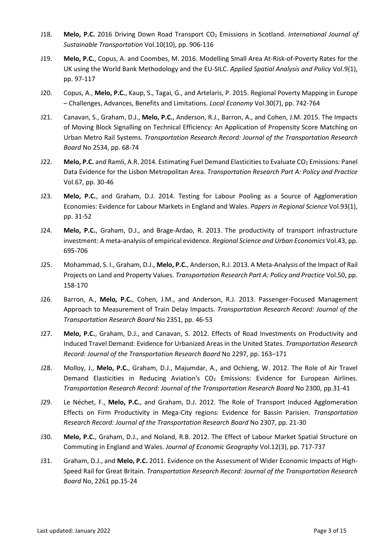- J18. **Melo, P.C.** 2016 Driving Down Road Transport CO<sub>2</sub> Emissions in Scotland. *International Journal of Sustainable Transportation* Vol.10(10), pp. 906-116
- J19. **Melo, P.C.**, Copus, A. and Coombes, M. 2016. Modelling Small Area At-Risk-of-Poverty Rates for the UK using the World Bank Methodology and the EU-SILC. *Applied Spatial Analysis and Policy* Vol.9(1), pp. 97-117
- J20. Copus, A., **Melo, P.C.**, Kaup, S., Tagai, G., and Artelaris, P. 2015. Regional Poverty Mapping in Europe – Challenges, Advances, Benefits and Limitations. *Local Economy* Vol.30(7), pp. 742-764
- J21. Canavan, S., Graham, D.J., **Melo, P.C.**, Anderson, R.J., Barron, A., and Cohen, J.M. 2015. The Impacts of Moving Block Signalling on Technical Efficiency: An Application of Propensity Score Matching on Urban Metro Rail Systems. *Transportation Research Record: Journal of the Transportation Research Board* No 2534, pp. 68-74
- J22. Melo, P.C. and Ramli, A.R. 2014. Estimating Fuel Demand Elasticities to Evaluate CO<sub>2</sub> Emissions: Panel Data Evidence for the Lisbon Metropolitan Area. *Transportation Research Part A: Policy and Practice* Vol.67, pp. 30-46
- J23. **Melo, P.C.**, and Graham, D.J. 2014. Testing for Labour Pooling as a Source of Agglomeration Economies: Evidence for Labour Markets in England and Wales. *Papers in Regional Science* Vol.93(1), pp. 31-52
- J24. **Melo, P.C.**, Graham, D.J., and Brage-Ardao, R. 2013. The productivity of transport infrastructure investment: A meta-analysis of empirical evidence. *Regional Science and Urban Economics* Vol.43, pp. 695-706
- J25. Mohammad, S. I., Graham, D.J., **Melo, P.C.**, Anderson, R.J. 2013. A Meta-Analysis of the Impact of Rail Projects on Land and Property Values. *Transportation Research Part A: Policy and Practice* Vol.50, pp. 158-170
- J26. Barron, A., **Melo, P.C.**, Cohen, J.M., and Anderson, R.J. 2013. Passenger-Focused Management Approach to Measurement of Train Delay Impacts. *Transportation Research Record: Journal of the Transportation Research Board* No 2351, pp. 46-53
- J27. **Melo, P.C.**, Graham, D.J., and Canavan, S. 2012. Effects of Road Investments on Productivity and Induced Travel Demand: Evidence for Urbanized Areas in the United States. *Transportation Research Record: Journal of the Transportation Research Board* No 2297, pp. 163–171
- J28. Molloy, J., **Melo, P.C.**, Graham, D.J., Majumdar, A., and Ochieng, W. 2012. The Role of Air Travel Demand Elasticities in Reducing Aviation's  $CO<sub>2</sub>$  Emissions: Evidence for European Airlines. *Transportation Research Record: Journal of the Transportation Research Board* No 2300, pp.31-41
- J29. Le Néchet, F., **Melo, P.C.**, and Graham, D.J. 2012. The Role of Transport Induced Agglomeration Effects on Firm Productivity in Mega-City regions: Evidence for Bassin Parisien. *Transportation Research Record: Journal of the Transportation Research Board* No 2307, pp. 21-30
- J30. **Melo, P.C.**, Graham, D.J., and Noland, R.B. 2012. The Effect of Labour Market Spatial Structure on Commuting in England and Wales. *Journal of Economic Geography* Vol.12(3), pp. 717-737
- J31. Graham, D.J., and **Melo, P.C.** 2011. Evidence on the Assessment of Wider Economic Impacts of High-Speed Rail for Great Britain. *Transportation Research Record: Journal of the Transportation Research Board* No, 2261 pp.15-24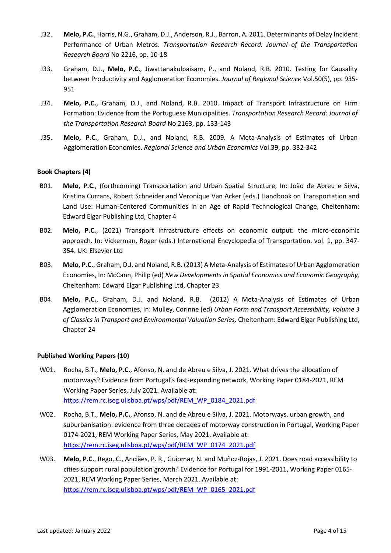- J32. **Melo, P.C.**, Harris, N.G., Graham, D.J., Anderson, R.J., Barron, A. 2011. Determinants of Delay Incident Performance of Urban Metros. *Transportation Research Record: Journal of the Transportation Research Board* No 2216, pp. 10-18
- J33. Graham, D.J., **Melo, P.C.**, Jiwattanakulpaisarn, P., and Noland, R.B. 2010. Testing for Causality between Productivity and Agglomeration Economies. *Journal of Regional Science* Vol.50(5), pp. 935- 951
- J34. **Melo, P.C.**, Graham, D.J., and Noland, R.B. 2010. Impact of Transport Infrastructure on Firm Formation: Evidence from the Portuguese Municipalities. *Transportation Research Record: Journal of the Transportation Research Board* No 2163, pp. 133-143
- J35. **Melo, P.C.**, Graham, D.J., and Noland, R.B. 2009. A Meta-Analysis of Estimates of Urban Agglomeration Economies. *Regional Science and Urban Economics* Vol.39, pp. 332-342

# **Book Chapters (4)**

- B01. **Melo, P.C.**, (forthcoming) Transportation and Urban Spatial Structure, In: João de Abreu e Silva, Kristina Currans, Robert Schneider and Veronique Van Acker (eds.) Handbook on Transportation and Land Use: Human-Centered Communities in an Age of Rapid Technological Change, Cheltenham: Edward Elgar Publishing Ltd, Chapter 4
- B02. **Melo, P.C.**, (2021) Transport infrastructure effects on economic output: the micro-economic approach. In: Vickerman, Roger (eds.) International Encyclopedia of Transportation. vol. 1, pp. 347- 354. UK: Elsevier Ltd
- B03. **Melo, P.C.**, Graham, D.J. and Noland, R.B. (2013) A Meta-Analysis of Estimates of Urban Agglomeration Economies, In: McCann, Philip (ed) *New Developments in Spatial Economics and Economic Geography,*  Cheltenham: Edward Elgar Publishing Ltd, Chapter 23
- B04. **Melo, P.C.**, Graham, D.J. and Noland, R.B. (2012) A Meta-Analysis of Estimates of Urban Agglomeration Economies, In: Mulley, Corinne (ed) *Urban Form and Transport Accessibility, Volume 3 of Classics in Transport and Environmental Valuation Series,* Cheltenham: Edward Elgar Publishing Ltd, Chapter 24

## **Published Working Papers (10)**

- W01. Rocha, B.T., **Melo, P.C.**, Afonso, N. and de Abreu e Silva, J. 2021. What drives the allocation of motorways? Evidence from Portugal's fast-expanding network, Working Paper 0184-2021, REM Working Paper Series, July 2021. Available at: [https://rem.rc.iseg.ulisboa.pt/wps/pdf/REM\\_WP\\_0184\\_2021.pdf](https://rem.rc.iseg.ulisboa.pt/wps/pdf/REM_WP_0184_2021.pdf)
- W02. Rocha, B.T., **Melo, P.C.**, Afonso, N. and de Abreu e Silva, J. 2021. Motorways, urban growth, and suburbanisation: evidence from three decades of motorway construction in Portugal, Working Paper 0174-2021, REM Working Paper Series, May 2021. Available at: [https://rem.rc.iseg.ulisboa.pt/wps/pdf/REM\\_WP\\_0174\\_2021.pdf](https://rem.rc.iseg.ulisboa.pt/wps/pdf/REM_WP_0174_2021.pdf)
- W03. **Melo, P.C.**, Rego, C., Anciães, P. R., Guiomar, N. and Muñoz-Rojas, J. 2021. Does road accessibility to cities support rural population growth? Evidence for Portugal for 1991-2011, Working Paper 0165- 2021, REM Working Paper Series, March 2021. Available at: [https://rem.rc.iseg.ulisboa.pt/wps/pdf/REM\\_WP\\_0165\\_2021.pdf](https://rem.rc.iseg.ulisboa.pt/wps/pdf/REM_WP_0165_2021.pdf)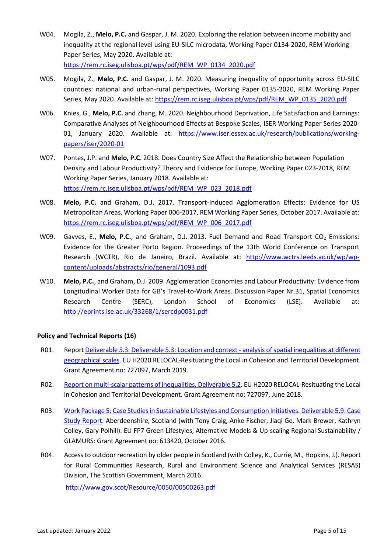- W04. Mogila, Z., **Melo, P.C.** and Gaspar, J. M. 2020. Exploring the relation between income mobility and inequality at the regional level using EU-SILC microdata, Working Paper 0134-2020, REM Working Paper Series, May 2020. Available at: [https://rem.rc.iseg.ulisboa.pt/wps/pdf/REM\\_WP\\_0134\\_2020.pdf](https://rem.rc.iseg.ulisboa.pt/wps/pdf/REM_WP_0134_2020.pdf)
- W05. Mogila, Z., **Melo, P.C.** and Gaspar, J. M. 2020. Measuring inequality of opportunity across EU-SILC countries: national and urban-rural perspectives, Working Paper 0135-2020, REM Working Paper Series, May 2020. Available at: [https://rem.rc.iseg.ulisboa.pt/wps/pdf/REM\\_WP\\_0135\\_2020.pdf](https://rem.rc.iseg.ulisboa.pt/wps/pdf/REM_WP_0135_2020.pdf)
- W06. Knies, G., **Melo, P.C.** and Zhang, M. 2020. Neighbourhood Deprivation, Life Satisfaction and Earnings: Comparative Analyses of Neighbourhood Effects at Bespoke Scales, ISER Working Paper Series 2020- 01, January 2020. Available at: [https://www.iser.essex.ac.uk/research/publications/working](https://www.iser.essex.ac.uk/research/publications/working-papers/iser/2020-01)[papers/iser/2020-01](https://www.iser.essex.ac.uk/research/publications/working-papers/iser/2020-01)
- W07. Pontes, J.P. and **Melo, P.C**. 2018. Does Country Size Affect the Relationship between Population Density and Labour Productivity? Theory and Evidence for Europe, Working Paper 023-2018, REM Working Paper Series, January 2018. Available at: [https://rem.rc.iseg.ulisboa.pt/wps/pdf/REM\\_WP\\_023\\_2018.pdf](https://rem.rc.iseg.ulisboa.pt/wps/pdf/REM_WP_023_2018.pdf)
- W08. **Melo, P.C.** and Graham, D.J. 2017. Transport-Induced Agglomeration Effects: Evidence for US Metropolitan Areas, Working Paper 006-2017, REM Working Paper Series, October 2017. Available at: [https://rem.rc.iseg.ulisboa.pt/wps/pdf/REM\\_WP\\_006\\_2017.pdf](https://rem.rc.iseg.ulisboa.pt/wps/pdf/REM_WP_006_2017.pdf)
- W09. Gavves, E., Melo, P.C., and Graham, D.J. 2013. Fuel Demand and Road Transport CO<sub>2</sub> Emissions: Evidence for the Greater Porto Region. Proceedings of the 13th World Conference on Transport Research (WCTR), Rio de Janeiro, Brazil. Available at: [http://www.wctrs.leeds.ac.uk/wp/wp](http://www.wctrs.leeds.ac.uk/wp/wp-content/uploads/abstracts/rio/general/1093.pdf)[content/uploads/abstracts/rio/general/1093.pdf](http://www.wctrs.leeds.ac.uk/wp/wp-content/uploads/abstracts/rio/general/1093.pdf)
- W10. **Melo, P.C.**, and Graham, D.J. 2009. Agglomeration Economies and Labour Productivity: Evidence from Longitudinal Worker Data for GB's Travel-to-Work Areas. Discussion Paper Nr.31, Spatial Economics Research Centre (SERC), London School of Economics (LSE). Available at: <http://eprints.lse.ac.uk/33268/1/sercdp0031.pdf>

## **Policy and Technical Reports (16)**

- R01. Repor[t Deliverable 5.3: Deliverable 5.3: Location and context -](https://relocal.eu/wp-content/uploads/sites/8/2019/05/D5.3-Report_FINAL.pdf) analysis of spatial inequalities at different [geographical scales.](https://relocal.eu/wp-content/uploads/sites/8/2019/05/D5.3-Report_FINAL.pdf) EU H2020 RELOCAL-Resituating the Local in Cohesion and Territorial Development. Grant Agreement no: 727097, March 2019.
- R02. [Report on multi-scalar patterns of inequalities. Deliverable 5.2.](https://relocal.eu/wp-content/uploads/sites/8/2018/06/D5.2-Report-on-multi-scalar-patterns-of-spatial-inequalities-Version-1-20180531.pdf) EU H2020 RELOCAL-Resituating the Local in Cohesion and Territorial Development. Grant Agreement no: 727097, June 2018.
- R03. [Work Package 5: Case Studies in Sustainable Lifestyles and Consumption Initiatives. Deliverable 5.9: Case](http://glamurs.eu/wp-content/uploads/2016/11/WP5_Deliverable_5.9.pdf)  [Study Report:](http://glamurs.eu/wp-content/uploads/2016/11/WP5_Deliverable_5.9.pdf) Aberdeenshire, Scotland (with Tony Craig, Anke Fischer, Jiaqi Ge, Mark Brewer, Kathryn Colley, Gary Polhill). EU FP7 Green Lifestyles, Alternative Models & Up-scaling Regional Sustainability / GLAMURS: Grant Agreement no: 613420, October 2016.
- R04. Access to outdoor recreation by older people in Scotland (with Colley, K., Currie, M., Hopkins, J.). Report for Rural Communities Research, Rural and Environment Science and Analytical Services (RESAS) Division, The Scottish Government, March 2016.

<http://www.gov.scot/Resource/0050/00500263.pdf>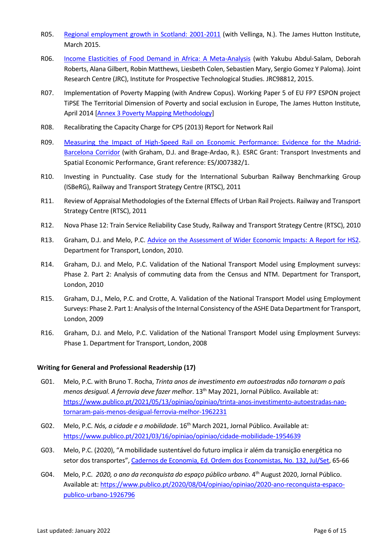- R05. [Regional employment growth in Scotland: 2001-2011](http://www.hutton.ac.uk/sites/default/files/files/Shift-share%20research%20note%20March%202015(3).pdf) (with Vellinga, N.). The James Hutton Institute, March 2015.
- R06. [Income Elasticities of Food Demand in Africa: A Meta-Analysis](https://ec.europa.eu/jrc/en/publication/income-elasticities-food-demand-africa-meta-analysis) (with Yakubu Abdul-Salam, Deborah Roberts, Alana Gilbert, Robin Matthews, Liesbeth Colen, Sebastien Mary, Sergio Gomez Y Paloma). Joint Research Centre (JRC), Institute for Prospective Technological Studies. JRC98812, 2015.
- R07. Implementation of Poverty Mapping (with Andrew Copus). Working Paper 5 of EU FP7 ESPON project TiPSE The Territorial Dimension of Poverty and social exclusion in Europe, The James Hutton Institute, April 2014 [\[Annex 3 Poverty Mapping Methodology\]](http://www.espon.eu/main/Menu_Projects/Menu_ESPON2013Projects/Menu_AppliedResearch/tipse.html)
- R08. Recalibrating the Capacity Charge for CP5 (2013) Report for Network Rail
- R09. [Measuring the Impact of High-Speed Rail on Economic Performance: Evidence for the Madrid-](http://www.researchcatalogue.esrc.ac.uk/grants/ES.J007382.1/outputs/read/ac83647c-7f0a-4915-ac0f-7a935bafed50)[Barcelona Corridor](http://www.researchcatalogue.esrc.ac.uk/grants/ES.J007382.1/outputs/read/ac83647c-7f0a-4915-ac0f-7a935bafed50) (with Graham, D.J. and Brage-Ardao, R.). ESRC Grant: Transport Investments and Spatial Economic Performance, Grant reference: ES/J007382/1.
- R10. Investing in Punctuality. Case study for the International Suburban Railway Benchmarking Group (ISBeRG), Railway and Transport Strategy Centre (RTSC), 2011
- R11. Review of Appraisal Methodologies of the External Effects of Urban Rail Projects. Railway and Transport Strategy Centre (RTSC), 2011
- R12. Nova Phase 12: Train Service Reliability Case Study, Railway and Transport Strategy Centre (RTSC), 2010
- R13. Graham, D.J. and Melo, P.C. [Advice on the Assessment of Wider Economic Impacts:](http://webarchive.nationalarchives.gov.uk/+/http:/www.dft.gov.uk/pgr/rail/pi/highspeedrail/hs2ltd/appraisalmaterial/pdf/widereconomicreport.pdf) A Report for HS2. Department for Transport, London, 2010.
- R14. Graham, D.J. and Melo, P.C. Validation of the National Transport Model using Employment surveys: Phase 2. Part 2: Analysis of commuting data from the Census and NTM. Department for Transport, London, 2010
- R15. Graham, D.J., Melo, P.C. and Crotte, A. Validation of the National Transport Model using Employment Surveys: Phase 2. Part 1: Analysis of the Internal Consistency of the ASHE Data Department for Transport, London, 2009
- R16. Graham, D.J. and Melo, P.C. Validation of the National Transport Model using Employment Surveys: Phase 1. Department for Transport, London, 2008

#### **Writing for General and Professional Readership (17)**

- G01. Melo, P.C. with Bruno T. Rocha, *Trinta anos de investimento em autoestradas não tornaram o país menos desigual. A ferrovia deve fazer melhor.* 13<sup>th</sup> May 2021, Jornal Público. Available at: [https://www.publico.pt/2021/05/13/opiniao/opiniao/trinta-anos-investimento-autoestradas-nao](https://www.publico.pt/2021/05/13/opiniao/opiniao/trinta-anos-investimento-autoestradas-nao-tornaram-pais-menos-desigual-ferrovia-melhor-1962231)[tornaram-pais-menos-desigual-ferrovia-melhor-1962231](https://www.publico.pt/2021/05/13/opiniao/opiniao/trinta-anos-investimento-autoestradas-nao-tornaram-pais-menos-desigual-ferrovia-melhor-1962231)
- G02. Melo, P.C. *Nós, a cidade e a mobilidade*. 16th March 2021, Jornal Público. Available at: <https://www.publico.pt/2021/03/16/opiniao/opiniao/cidade-mobilidade-1954639>
- G03. Melo, P.C. (2020), "A mobilidade sustentável do futuro implica ir além da transição energética no setor dos transportes", [Cadernos de Economia, Ed. Ordem dos Economistas, No. 132, Jul/Set,](https://cadernoseconomia.com.pt/produto/cadernos-de-economia-132/) 65-66
- G04. Melo, P.C. 2020, o ano da reconquista do espaço público urbano. 4<sup>th</sup> August 2020, Jornal Público. Available at: [https://www.publico.pt/2020/08/04/opiniao/opiniao/2020-ano-reconquista-espaco](https://www.publico.pt/2020/08/04/opiniao/opiniao/2020-ano-reconquista-espaco-publico-urbano-1926796)[publico-urbano-1926796](https://www.publico.pt/2020/08/04/opiniao/opiniao/2020-ano-reconquista-espaco-publico-urbano-1926796)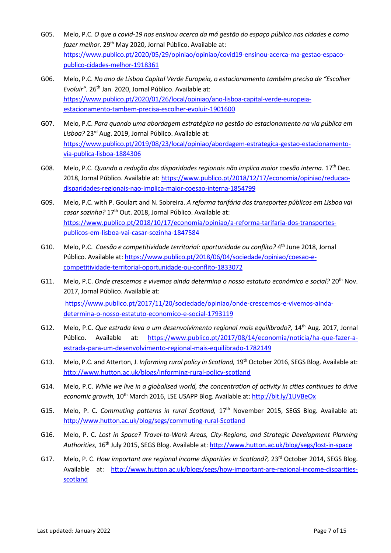- G05. Melo, P.C. *O que a covid-19 nos ensinou acerca da má gestão do espaço público nas cidades e como fazer melho*r*.* 29th May 2020, Jornal Público. Available at: [https://www.publico.pt/2020/05/29/opiniao/opiniao/covid19-ensinou-acerca-ma-gestao-espaco](https://www.publico.pt/2020/05/29/opiniao/opiniao/covid19-ensinou-acerca-ma-gestao-espaco-publico-cidades-melhor-1918361)[publico-cidades-melhor-1918361](https://www.publico.pt/2020/05/29/opiniao/opiniao/covid19-ensinou-acerca-ma-gestao-espaco-publico-cidades-melhor-1918361)
- G06. Melo, P.C. *No ano de Lisboa Capital Verde Europeia, o estacionamento também precisa de "Escolher Evoluir".* 26th Jan. 2020, Jornal Público. Available at: [https://www.publico.pt/2020/01/26/local/opiniao/ano-lisboa-capital-verde-europeia](https://www.publico.pt/2020/01/26/local/opiniao/ano-lisboa-capital-verde-europeia-estacionamento-tambem-precisa-escolher-evoluir-1901600)[estacionamento-tambem-precisa-escolher-evoluir-1901600](https://www.publico.pt/2020/01/26/local/opiniao/ano-lisboa-capital-verde-europeia-estacionamento-tambem-precisa-escolher-evoluir-1901600)
- G07. Melo, P.C. *Para quando uma abordagem estratégica na gestão do estacionamento na via pública em Lisboa?* 23rd Aug. 2019, Jornal Público. Available at: [https://www.publico.pt/2019/08/23/local/opiniao/abordagem-estrategica-gestao-estacionamento](https://www.publico.pt/2019/08/23/local/opiniao/abordagem-estrategica-gestao-estacionamento-via-publica-lisboa-1884306)[via-publica-lisboa-1884306](https://www.publico.pt/2019/08/23/local/opiniao/abordagem-estrategica-gestao-estacionamento-via-publica-lisboa-1884306)
- G08. Melo, P.C. *Quando a redução das disparidades regionais não implica maior coesão interna.* 17th Dec. 2018, Jornal Público. Available at[: https://www.publico.pt/2018/12/17/economia/opiniao/reducao](https://www.publico.pt/2018/12/17/economia/opiniao/reducao-disparidades-regionais-nao-implica-maior-coesao-interna-1854799)[disparidades-regionais-nao-implica-maior-coesao-interna-1854799](https://www.publico.pt/2018/12/17/economia/opiniao/reducao-disparidades-regionais-nao-implica-maior-coesao-interna-1854799)
- G09. Melo, P.C. with P. Goulart and N. Sobreira. *A reforma tarifária dos transportes públicos em Lisboa vai casar sozinha?* 17th Out. 2018, Jornal Público. Available at: [https://www.publico.pt/2018/10/17/economia/opiniao/a-reforma-tarifaria-dos-transportes](https://www.publico.pt/2018/10/17/economia/opiniao/a-reforma-tarifaria-dos-transportes-publicos-em-lisboa-vai-casar-sozinha-1847584)[publicos-em-lisboa-vai-casar-sozinha-1847584](https://www.publico.pt/2018/10/17/economia/opiniao/a-reforma-tarifaria-dos-transportes-publicos-em-lisboa-vai-casar-sozinha-1847584)
- G10. Melo, P.C. *Coesão e competitividade territorial: oportunidade ou conflito?* 4<sup>th</sup> June 2018, Jornal Público. Available at: [https://www.publico.pt/2018/06/04/sociedade/opiniao/coesao-e](https://www.publico.pt/2018/06/04/sociedade/opiniao/coesao-e-competitividade-territorial-oportunidade-ou-conflito-1833072)[competitividade-territorial-oportunidade-ou-conflito-1833072](https://www.publico.pt/2018/06/04/sociedade/opiniao/coesao-e-competitividade-territorial-oportunidade-ou-conflito-1833072)
- G11. Melo, P.C. *Onde crescemos e vivemos ainda determina o nosso estatuto económico e social?* 20<sup>th</sup> Nov. 2017, Jornal Público. Available at: [https://www.publico.pt/2017/11/20/sociedade/opiniao/onde-crescemos-e-vivemos-ainda](https://www.publico.pt/2017/11/20/sociedade/opiniao/onde-crescemos-e-vivemos-ainda-determina-o-nosso-estatuto-economico-e-social-1793119)[determina-o-nosso-estatuto-economico-e-social-1793119](https://www.publico.pt/2017/11/20/sociedade/opiniao/onde-crescemos-e-vivemos-ainda-determina-o-nosso-estatuto-economico-e-social-1793119)
- G12. Melo, P.C. *Que estrada leva a um desenvolvimento regional mais equilibrado?*, 14<sup>th</sup> Aug. 2017, Jornal Público. Available at: [https://www.publico.pt/2017/08/14/economia/noticia/ha-que-fazer-a](https://www.publico.pt/2017/08/14/economia/noticia/ha-que-fazer-a-estrada-para-um-desenvolvimento-regional-mais-equilibrado-1782149)[estrada-para-um-desenvolvimento-regional-mais-equilibrado-1782149](https://www.publico.pt/2017/08/14/economia/noticia/ha-que-fazer-a-estrada-para-um-desenvolvimento-regional-mais-equilibrado-1782149)
- G13. Melo, P.C. and Atterton, J. *Informing rural policy in Scotland,* 19th October 2016, SEGS Blog. Available at: <http://www.hutton.ac.uk/blogs/informing-rural-policy-scotland>
- G14. Melo, P.C. *While we live in a globalised world, the concentration of activity in cities continues to drive economic growth,* 10th March 2016, LSE USAPP Blog. Available at[: http://bit.ly/1UVBeOx](http://bit.ly/1UVBeOx)
- G15. Melo, P. C. *Commuting patterns in rural Scotland,* 17th November 2015, SEGS Blog. Available at: <http://www.hutton.ac.uk/blog/segs/commuting-rural-Scotland>
- G16. Melo, P. C. *Lost in Space? Travel-to-Work Areas, City-Regions, and Strategic Development Planning Authorities*, 16th July 2015, SEGS Blog. Available at:<http://www.hutton.ac.uk/blog/segs/lost-in-space>
- G17. Melo, P. C. *How important are regional income disparities in Scotland?*, 23<sup>rd</sup> October 2014, SEGS Blog. Available at: [http://www.hutton.ac.uk/blogs/segs/how-important-are-regional-income-disparities](http://www.hutton.ac.uk/blogs/segs/how-important-are-regional-income-disparities-scotland)[scotland](http://www.hutton.ac.uk/blogs/segs/how-important-are-regional-income-disparities-scotland)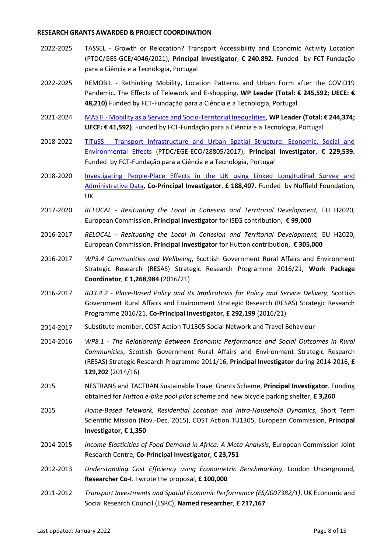### **RESEARCH GRANTS AWARDED & PROJECT COORDINATION**

- 2022-2025 TASSEL Growth or Relocation? Transport Accessibility and Economic Activity Location (PTDC/GES-GCE/4046/2021), **Principal Investigator**, **€ 240.892.** Funded by FCT-Fundação para a Ciência e a Tecnologia, Portugal
- 2022-2025 REMOBIL Rethinking Mobility, Location Patterns and Urban Form after the COVID19 Pandemic. The Effects of Telework and E-shopping, **WP Leader (Total: € 245,592; UECE: € 48,210)** Funded by FCT-Fundação para a Ciência e a Tecnologia, Portugal
- 2021-2024 MASTI [Mobility as a Service and Socio-Territorial Inequalities,](http://masti.fa.ulisboa.pt/) **WP Leader (Total: € 244,374; UECE: € 41,592)**. Funded by FCT-Fundação para a Ciência e a Tecnologia, Portugal
- 2018-2022 TiTuSS [Transport Infrastructure and Urban Spatial Structure: Economic, Social and](https://rem.rc.iseg.ulisboa.pt/prj/tituss/)  [Environmental Effects](https://rem.rc.iseg.ulisboa.pt/prj/tituss/) (PTDC/EGE-ECO/28805/2017), **Principal Investigator**, **€ 229,539.**  Funded by FCT-Fundação para a Ciência e a Tecnologia, Portugal
- 2018-2020 [Investigating People-Place Effects in the UK using Linked Longitudinal Survey and](https://www.nuffieldfoundation.org/investigating-people-place-effects-uk)  [Administrative Data,](https://www.nuffieldfoundation.org/investigating-people-place-effects-uk) **Co-Principal Investigator**, **£ 188,407.** Funded by Nuffield Foundation, UK
- 2017-2020 *RELOCAL - Resituating the Local in Cohesion and Territorial Development,* EU H2020, European Commission, **Principal Investigator** for ISEG contribution, **€ 99,000**
- 2016-2017 *RELOCAL - Resituating the Local in Cohesion and Territorial Development,* EU H2020, European Commission, **Principal Investigator** for Hutton contribution, **€ 305,000**
- 2016-2017 *WP3.4 Communities and Wellbeing*, Scottish Government Rural Affairs and Environment Strategic Research (RESAS) Strategic Research Programme 2016/21, **Work Package Coordinator**, **£ 1,268,984** (2016/21)
- 2016-2017 *RD3.4.2 - Place-Based Policy and its Implications for Policy and Service Delivery*, Scottish Government Rural Affairs and Environment Strategic Research (RESAS) Strategic Research Programme 2016/21, **Co-Principal Investigator**, **£ 292,199** (2016/21)
- 2014-2017 Substitute member, COST Action TU1305 Social Network and Travel Behaviour
- 2014-2016 *WP8.1 - The Relationship Between Economic Performance and Social Outcomes in Rural Communities*, Scottish Government Rural Affairs and Environment Strategic Research (RESAS) Strategic Research Programme 2011/16, **Principal Investigator** during 2014-2016, **£ 129,202** (2014/16)
- 2015 NESTRANS and TACTRAN Sustainable Travel Grants Scheme, **Principal Investigator**. Funding obtained for *Hutton e-bike pool pilot scheme* and new bicycle parking shelter, **£ 3,260**
- 2015 *Home-Based Telework, Residential Location and Intra-Household Dynamics*, Short Term Scientific Mission (Nov.-Dec. 2015), COST Action TU1305, European Commission, **Principal Investigator**, **€ 1,350**
- 2014-2015 *Income Elasticities of Food Demand in Africa: A Meta-Analysis*, European Commission Joint Research Centre, **Co-Principal Investigator**, **€ 23,751**
- 2012-2013 *Understanding Cost Efficiency using Econometric Benchmarking*, London Underground, **Researcher Co-I**. I wrote the proposal, **£ 100,000**
- 2011-2012 *Transport Investments and Spatial Economic Performance (ES/J007382/1)*, UK Economic and Social Research Council (ESRC), **Named researcher**, **£ 217,167**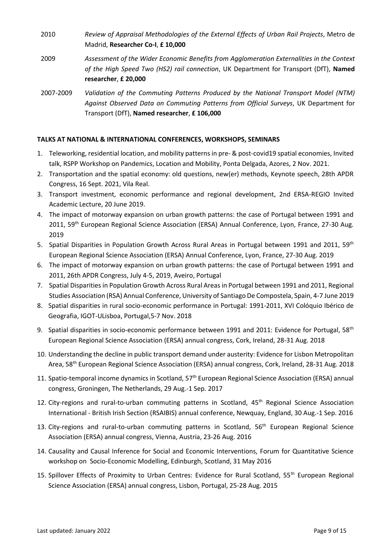- 2010 *Review of Appraisal Methodologies of the External Effects of Urban Rail Projects*, Metro de Madrid, **Researcher Co-I**, **£ 10,000**
- 2009 *Assessment of the Wider Economic Benefits from Agglomeration Externalities in the Context of the High Speed Two (HS2) rail connection*, UK Department for Transport (DfT), **Named researcher**, **£ 20,000**
- 2007-2009 *Validation of the Commuting Patterns Produced by the National Transport Model (NTM) Against Observed Data on Commuting Patterns from Official Surveys*, UK Department for Transport (DfT), **Named researcher**, **£ 106,000**

# **TALKS AT NATIONAL & INTERNATIONAL CONFERENCES, WORKSHOPS, SEMINARS**

- 1. Teleworking, residential location, and mobility patterns in pre- & post-covid19 spatial economies, Invited talk, RSPP Workshop on Pandemics, Location and Mobility, Ponta Delgada, Azores, 2 Nov. 2021.
- 2. Transportation and the spatial economy: old questions, new(er) methods, Keynote speech, 28th APDR Congress, 16 Sept. 2021, Vila Real.
- 3. Transport investment, economic performance and regional development, 2nd ERSA-REGIO Invited Academic Lecture, 20 June 2019.
- 4. The impact of motorway expansion on urban growth patterns: the case of Portugal between 1991 and 2011, 59<sup>th</sup> European Regional Science Association (ERSA) Annual Conference, Lyon, France, 27-30 Aug. 2019
- 5. Spatial Disparities in Population Growth Across Rural Areas in Portugal between 1991 and 2011, 59<sup>th</sup> European Regional Science Association (ERSA) Annual Conference, Lyon, France, 27-30 Aug. 2019
- 6. The impact of motorway expansion on urban growth patterns: the case of Portugal between 1991 and 2011, 26th APDR Congress, July 4-5, 2019, Aveiro, Portugal
- 7. Spatial Disparities in Population Growth Across Rural Areas in Portugal between 1991 and 2011, Regional Studies Association (RSA) Annual Conference, University of Santiago De Compostela, Spain, 4-7 June 2019
- 8. Spatial disparities in rural socio-economic performance in Portugal: 1991-2011, XVI Colóquio Ibérico de Geografia, IGOT-ULisboa, Portugal,5-7 Nov. 2018
- 9. Spatial disparities in socio-economic performance between 1991 and 2011: Evidence for Portugal, 58<sup>th</sup> European Regional Science Association (ERSA) annual congress, Cork, Ireland, 28-31 Aug. 2018
- 10. Understanding the decline in public transport demand under austerity: Evidence for Lisbon Metropolitan Area, 58<sup>th</sup> European Regional Science Association (ERSA) annual congress, Cork, Ireland, 28-31 Aug. 2018
- 11. Spatio-temporal income dynamics in Scotland, 57<sup>th</sup> European Regional Science Association (ERSA) annual congress, Groningen, The Netherlands, 29 Aug.-1 Sep. 2017
- 12. City-regions and rural-to-urban commuting patterns in Scotland, 45<sup>th</sup> Regional Science Association International - British Irish Section (RSAIBIS) annual conference, Newquay, England, 30 Aug.-1 Sep. 2016
- 13. City-regions and rural-to-urban commuting patterns in Scotland, 56<sup>th</sup> European Regional Science Association (ERSA) annual congress, Vienna, Austria, 23-26 Aug. 2016
- 14. Causality and Causal Inference for Social and Economic Interventions, Forum for Quantitative Science workshop on Socio-Economic Modelling, Edinburgh, Scotland, 31 May 2016
- 15. Spillover Effects of Proximity to Urban Centres: Evidence for Rural Scotland, 55<sup>th</sup> European Regional Science Association (ERSA) annual congress, Lisbon, Portugal, 25-28 Aug. 2015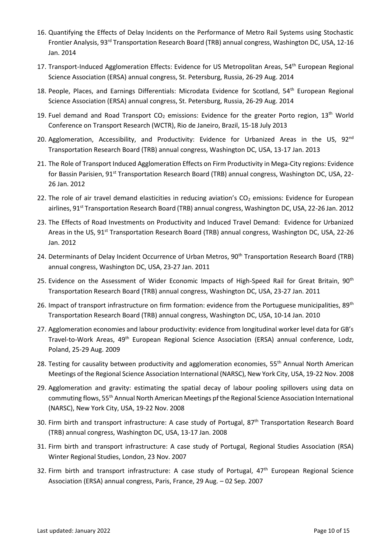- 16. Quantifying the Effects of Delay Incidents on the Performance of Metro Rail Systems using Stochastic Frontier Analysis, 93<sup>rd</sup> Transportation Research Board (TRB) annual congress, Washington DC, USA, 12-16 Jan. 2014
- 17. Transport-Induced Agglomeration Effects: Evidence for US Metropolitan Areas, 54<sup>th</sup> European Regional Science Association (ERSA) annual congress, St. Petersburg, Russia, 26-29 Aug. 2014
- 18. People, Places, and Earnings Differentials: Microdata Evidence for Scotland, 54th European Regional Science Association (ERSA) annual congress, St. Petersburg, Russia, 26-29 Aug. 2014
- 19. Fuel demand and Road Transport  $CO<sub>2</sub>$  emissions: Evidence for the greater Porto region, 13<sup>th</sup> World Conference on Transport Research (WCTR), Rio de Janeiro, Brazil, 15-18 July 2013
- 20. Agglomeration, Accessibility, and Productivity: Evidence for Urbanized Areas in the US, 92<sup>nd</sup> Transportation Research Board (TRB) annual congress, Washington DC, USA, 13-17 Jan. 2013
- 21. The Role of Transport Induced Agglomeration Effects on Firm Productivity in Mega-City regions: Evidence for Bassin Parisien, 91<sup>st</sup> Transportation Research Board (TRB) annual congress, Washington DC, USA, 22-26 Jan. 2012
- 22. The role of air travel demand elasticities in reducing aviation's  $CO<sub>2</sub>$  emissions: Evidence for European airlines, 91<sup>st</sup> Transportation Research Board (TRB) annual congress, Washington DC, USA, 22-26 Jan. 2012
- 23. The Effects of Road Investments on Productivity and Induced Travel Demand: Evidence for Urbanized Areas in the US, 91<sup>st</sup> Transportation Research Board (TRB) annual congress, Washington DC, USA, 22-26 Jan. 2012
- 24. Determinants of Delay Incident Occurrence of Urban Metros, 90<sup>th</sup> Transportation Research Board (TRB) annual congress, Washington DC, USA, 23-27 Jan. 2011
- 25. Evidence on the Assessment of Wider Economic Impacts of High-Speed Rail for Great Britain, 90<sup>th</sup> Transportation Research Board (TRB) annual congress, Washington DC, USA, 23-27 Jan. 2011
- 26. Impact of transport infrastructure on firm formation: evidence from the Portuguese municipalities, 89<sup>th</sup> Transportation Research Board (TRB) annual congress, Washington DC, USA, 10-14 Jan. 2010
- 27. Agglomeration economies and labour productivity: evidence from longitudinal worker level data for GB's Travel-to-Work Areas, 49<sup>th</sup> European Regional Science Association (ERSA) annual conference, Lodz, Poland, 25-29 Aug. 2009
- 28. Testing for causality between productivity and agglomeration economies, 55<sup>th</sup> Annual North American Meetings of the Regional Science Association International (NARSC), New York City, USA, 19-22 Nov. 2008
- 29. Agglomeration and gravity: estimating the spatial decay of labour pooling spillovers using data on commuting flows, 55th Annual North American Meetings pf the Regional Science Association International (NARSC), New York City, USA, 19-22 Nov. 2008
- 30. Firm birth and transport infrastructure: A case study of Portugal, 87<sup>th</sup> Transportation Research Board (TRB) annual congress, Washington DC, USA, 13-17 Jan. 2008
- 31. Firm birth and transport infrastructure: A case study of Portugal, Regional Studies Association (RSA) Winter Regional Studies, London, 23 Nov. 2007
- 32. Firm birth and transport infrastructure: A case study of Portugal, 47<sup>th</sup> European Regional Science Association (ERSA) annual congress, Paris, France, 29 Aug. – 02 Sep. 2007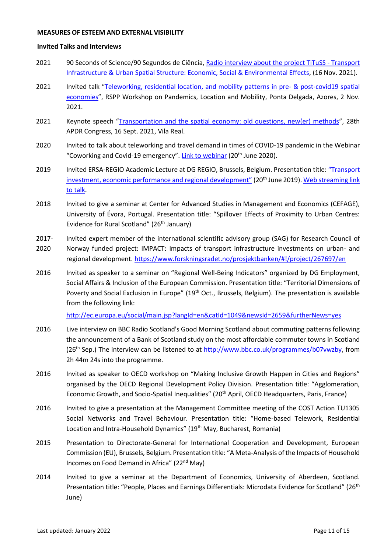#### **MEASURES OF ESTEEM AND EXTERNAL VISIBILITY**

#### **Invited Talks and Interviews**

- 2021 90 Seconds of Science/90 Segundos de Ciência, [Radio interview about the](https://www.rtp.pt/play/p2936/e578910/90-segundos-ciencia) project TiTuSS Transport [Infrastructure & Urban Spatial Structure: Economic, Social & Environmental Effects,](https://www.rtp.pt/play/p2936/e578910/90-segundos-ciencia) (16 Nov. 2021).
- 2021 Invited talk "[Teleworking, residential location, and mobility patterns in pre-](https://www.youtube.com/watch?v=8rY8fh_R4ds) & post-covid19 spatial [economies](https://www.youtube.com/watch?v=8rY8fh_R4ds)", RSPP Workshop on Pandemics, Location and Mobility, Ponta Delgada, Azores, 2 Nov. 2021.
- 2021 Keynote speech "[Transportation and the spatial economy: old questions, new\(er\) methods](http://www.apdr.pt/congresso/2021/)", 28th APDR Congress, 16 Sept. 2021, Vila Real.
- 2020 Invited to talk about teleworking and travel demand in times of COVID-19 pandemic in the Webinar "Coworking and Covid-19 emergency". [Link to webinar](https://www.facebook.com/COSTActionCA18214NeW.Sp/videos/542763810003913/) (20<sup>th</sup> June 2020).
- 2019 Invited ERSA-REGIO Academic Lecture at DG REGIO, Brussels, Belgium. Presentation title: ["Transport](https://ersa.org/wp-content/uploads/2019/05/Melo-ERSA-DGREGIO.pdf)  [investment, economic performance and regional development"](https://ersa.org/wp-content/uploads/2019/05/Melo-ERSA-DGREGIO.pdf) (20<sup>th</sup> June 2019). Web streaming link [to talk.](https://webcast.ec.europa.eu/joint-regio-ersa-academic-lecture-prof-patricia-melo-on-transport-investment-economic-performance-and-regional-development)
- 2018 Invited to give a seminar at Center for Advanced Studies in Management and Economics (CEFAGE), University of Évora, Portugal. Presentation title: "Spillover Effects of Proximity to Urban Centres: Evidence for Rural Scotland" (26<sup>th</sup> January)
- 2017- Invited expert member of the international scientific advisory group (SAG) for Research Council of
- 2020 Norway funded project: IMPACT: Impacts of transport infrastructure investments on urban- and regional development[. https://www.forskningsradet.no/prosjektbanken/#!/project/267697/en](https://www.forskningsradet.no/prosjektbanken/#!/project/267697/en)
- 2016 Invited as speaker to a seminar on "Regional Well-Being Indicators" organized by DG Employment, Social Affairs & Inclusion of the European Commission. Presentation title: "Territorial Dimensions of Poverty and Social Exclusion in Europe"  $(19<sup>th</sup> Oct., Brussels, Belgium).$  The presentation is available from the following link:

<http://ec.europa.eu/social/main.jsp?langId=en&catId=1049&newsId=2659&furtherNews=yes>

- 2016 Live interview on BBC Radio Scotland's Good Morning Scotland about commuting patterns following the announcement of a Bank of Scotland study on the most affordable commuter towns in Scotland  $(26<sup>th</sup>$  Sep.) The interview can be listened to at [http://www.bbc.co.uk/programmes/b07vwzby,](http://www.bbc.co.uk/programmes/b07vwzby) from 2h 44m 24s into the programme.
- 2016 Invited as speaker to OECD workshop on "Making Inclusive Growth Happen in Cities and Regions" organised by the OECD Regional Development Policy Division. Presentation title: "Agglomeration, Economic Growth, and Socio-Spatial Inequalities" (20th April, OECD Headquarters, Paris, France)
- 2016 Invited to give a presentation at the Management Committee meeting of the COST Action TU1305 Social Networks and Travel Behaviour. Presentation title: "Home-based Telework, Residential Location and Intra-Household Dynamics" (19<sup>th</sup> May, Bucharest, Romania)
- 2015 Presentation to Directorate-General for International Cooperation and Development, European Commission (EU), Brussels, Belgium. Presentation title: "A Meta-Analysis of the Impacts of Household Incomes on Food Demand in Africa" (22<sup>nd</sup> May)
- 2014 Invited to give a seminar at the Department of Economics, University of Aberdeen, Scotland. Presentation title: "People, Places and Earnings Differentials: Microdata Evidence for Scotland" (26<sup>th</sup> June)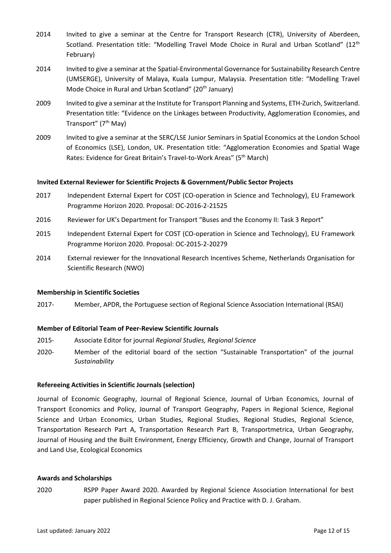- 2014 Invited to give a seminar at the Centre for Transport Research (CTR), University of Aberdeen, Scotland. Presentation title: "Modelling Travel Mode Choice in Rural and Urban Scotland" (12<sup>th</sup> February)
- 2014 Invited to give a seminar at the Spatial-Environmental Governance for Sustainability Research Centre (UMSERGE), University of Malaya, Kuala Lumpur, Malaysia. Presentation title: "Modelling Travel Mode Choice in Rural and Urban Scotland" (20<sup>th</sup> January)
- 2009 Invited to give a seminar at the Institute for Transport Planning and Systems, ETH-Zurich, Switzerland. Presentation title: "Evidence on the Linkages between Productivity, Agglomeration Economies, and Transport" (7th May)
- 2009 Invited to give a seminar at the SERC/LSE Junior Seminars in Spatial Economics at the London School of Economics (LSE), London, UK. Presentation title: "Agglomeration Economies and Spatial Wage Rates: Evidence for Great Britain's Travel-to-Work Areas" (5<sup>th</sup> March)

#### **Invited External Reviewer for Scientific Projects & Government/Public Sector Projects**

- 2017 Independent External Expert for COST (CO-operation in Science and Technology), EU Framework Programme Horizon 2020. Proposal: OC-2016-2-21525
- 2016 Reviewer for UK's Department for Transport "Buses and the Economy II: Task 3 Report"
- 2015 Independent External Expert for COST (CO-operation in Science and Technology), EU Framework Programme Horizon 2020. Proposal: OC-2015-2-20279
- 2014 External reviewer for the Innovational Research Incentives Scheme, Netherlands Organisation for Scientific Research (NWO)

#### **Membership in Scientific Societies**

2017- Member, APDR, the Portuguese section of Regional Science Association International (RSAI)

## **Member of Editorial Team of Peer-Review Scientific Journals**

- 2015- Associate Editor for journal *Regional Studies, Regional Science*
- 2020- Member of the editorial board of the section "Sustainable Transportation" of the journal *Sustainability*

#### **Refereeing Activities in Scientific Journals (selection)**

Journal of Economic Geography, Journal of Regional Science, Journal of Urban Economics, Journal of Transport Economics and Policy, Journal of Transport Geography, Papers in Regional Science, Regional Science and Urban Economics, Urban Studies, Regional Studies, Regional Studies, Regional Science, Transportation Research Part A, Transportation Research Part B, Transportmetrica, Urban Geography, Journal of Housing and the Built Environment, Energy Efficiency, Growth and Change, Journal of Transport and Land Use, Ecological Economics

#### **Awards and Scholarships**

2020 RSPP Paper Award 2020. Awarded by Regional Science Association International for best paper published in Regional Science Policy and Practice with D. J. Graham.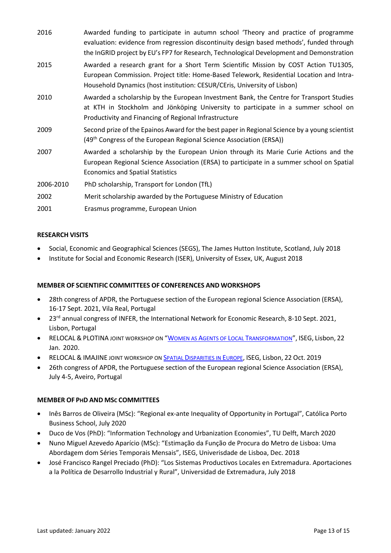| 2016      | Awarded funding to participate in autumn school 'Theory and practice of programme<br>evaluation: evidence from regression discontinuity design based methods', funded through<br>the InGRID project by EU's FP7 for Research, Technological Development and Demonstration |
|-----------|---------------------------------------------------------------------------------------------------------------------------------------------------------------------------------------------------------------------------------------------------------------------------|
| 2015      | Awarded a research grant for a Short Term Scientific Mission by COST Action TU1305,<br>European Commission. Project title: Home-Based Telework, Residential Location and Intra-<br>Household Dynamics (host institution: CESUR/CEris, University of Lisbon)               |
| 2010      | Awarded a scholarship by the European Investment Bank, the Centre for Transport Studies<br>at KTH in Stockholm and Jönköping University to participate in a summer school on<br>Productivity and Financing of Regional Infrastructure                                     |
| 2009      | Second prize of the Epainos Award for the best paper in Regional Science by a young scientist<br>(49 <sup>th</sup> Congress of the European Regional Science Association (ERSA))                                                                                          |
| 2007      | Awarded a scholarship by the European Union through its Marie Curie Actions and the<br>European Regional Science Association (ERSA) to participate in a summer school on Spatial<br><b>Economics and Spatial Statistics</b>                                               |
| 2006-2010 | PhD scholarship, Transport for London (TfL)                                                                                                                                                                                                                               |
| 2002      | Merit scholarship awarded by the Portuguese Ministry of Education                                                                                                                                                                                                         |
| 2001      | Erasmus programme, European Union                                                                                                                                                                                                                                         |

# **RESEARCH VISITS**

- Social, Economic and Geographical Sciences (SEGS), The James Hutton Institute, Scotland, July 2018
- Institute for Social and Economic Research (ISER), University of Essex, UK, August 2018

## **MEMBER OF SCIENTIFIC COMMITTEES OF CONFERENCES AND WORKSHOPS**

- 28th congress of APDR, the Portuguese section of the European regional Science Association (ERSA), 16-17 Sept. 2021, Vila Real, Portugal
- 23<sup>rd</sup> annual congress of INFER, the International Network for Economic Research, 8-10 Sept. 2021, Lisbon, Portugal
- RELOCAL & PLOTINA JOINT WORKSHOP ON "WOMEN AS AGENTS OF LOCAL T[RANSFORMATION](https://relocal.eu/relocal-plotina-joint-workshop-on-women-as-agents-of-local-transformation/)", ISEG, Lisbon, 22 Jan. 2020.
- RELOCAL & IMAJINE JOINT WORKSHOP ON SPATIAL D[ISPARITIES IN](RELOCAL%20&%20IMAJINE%20joint%20workshop%20on%20Spatial%20Disparities%20in%20Europe) EUROPE, ISEG, Lisbon, 22 Oct. 2019
- 26th congress of APDR, the Portuguese section of the European regional Science Association (ERSA), July 4-5, Aveiro, Portugal

## **MEMBER OF PHD AND MSC COMMITTEES**

- Inês Barros de Oliveira (MSc): "Regional ex-ante Inequality of Opportunity in Portugal", Católica Porto Business School, July 2020
- Duco de Vos (PhD): "Information Technology and Urbanization Economies", TU Delft, March 2020
- Nuno Miguel Azevedo Aparício (MSc): "Estimação da Função de Procura do Metro de Lisboa: Uma Abordagem dom Séries Temporais Mensais", ISEG, Univerisdade de Lisboa, Dec. 2018
- José Francisco Rangel Preciado (PhD): "Los Sistemas Productivos Locales en Extremadura. Aportaciones a la Política de Desarrollo Industrial y Rural", Universidad de Extremadura, July 2018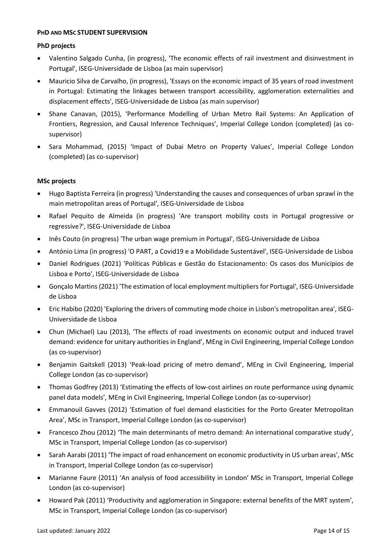## **PHD AND MSC STUDENT SUPERVISION**

# **PhD projects**

- Valentino Salgado Cunha, (in progress), 'The economic effects of rail investment and disinvestment in Portugal', ISEG-Universidade de Lisboa (as main supervisor)
- Mauricio Silva de Carvalho, (in progress), 'Essays on the economic impact of 35 years of road investment in Portugal: Estimating the linkages between transport accessibility, agglomeration externalities and displacement effects', ISEG-Universidade de Lisboa (as main supervisor)
- Shane Canavan, (2015), 'Performance Modelling of Urban Metro Rail Systems: An Application of Frontiers, Regression, and Causal Inference Techniques', Imperial College London (completed) (as cosupervisor)
- Sara Mohammad, (2015) 'Impact of Dubai Metro on Property Values', Imperial College London (completed) (as co-supervisor)

# **MSc projects**

- Hugo Baptista Ferreira (in progress) 'Understanding the causes and consequences of urban sprawl in the main metropolitan areas of Portugal', ISEG-Universidade de Lisboa
- Rafael Pequito de Almeida (in progress) 'Are transport mobility costs in Portugal progressive or regressive?', ISEG-Universidade de Lisboa
- Inês Couto (in progress) 'The urban wage premium in Portugal', ISEG-Universidade de Lisboa
- António Lima (in progress) 'O PART, a Covid19 e a Mobilidade Sustentável', ISEG-Universidade de Lisboa
- Daniel Rodrigues (2021) 'Políticas Públicas e Gestão do Estacionamento: Os casos dos Municípios de Lisboa e Porto', ISEG-Universidade de Lisboa
- Gonçalo Martins (2021) 'The estimation of local employment multipliers for Portugal', ISEG-Universidade de Lisboa
- Eric Habibo (2020) 'Exploring the drivers of commuting mode choice in Lisbon's metropolitan area', ISEG-Universidade de Lisboa
- Chun (Michael) Lau (2013), 'The effects of road investments on economic output and induced travel demand: evidence for unitary authorities in England', MEng in Civil Engineering, Imperial College London (as co-supervisor)
- Benjamin Gaitskell (2013) 'Peak-load pricing of metro demand', MEng in Civil Engineering, Imperial College London (as co-supervisor)
- Thomas Godfrey (2013) 'Estimating the effects of low-cost airlines on route performance using dynamic panel data models', MEng in Civil Engineering, Imperial College London (as co-supervisor)
- Emmanouil Gavves (2012) 'Estimation of fuel demand elasticities for the Porto Greater Metropolitan Area', MSc in Transport, Imperial College London (as co-supervisor)
- Francesco Zhou (2012) 'The main determinants of metro demand: An international comparative study', MSc in Transport, Imperial College London (as co-supervisor)
- Sarah Aarabi (2011) 'The impact of road enhancement on economic productivity in US urban areas', MSc in Transport, Imperial College London (as co-supervisor)
- Marianne Faure (2011) 'An analysis of food accessibility in London' MSc in Transport, Imperial College London (as co-supervisor)
- Howard Pak (2011) 'Productivity and agglomeration in Singapore: external benefits of the MRT system', MSc in Transport, Imperial College London (as co-supervisor)